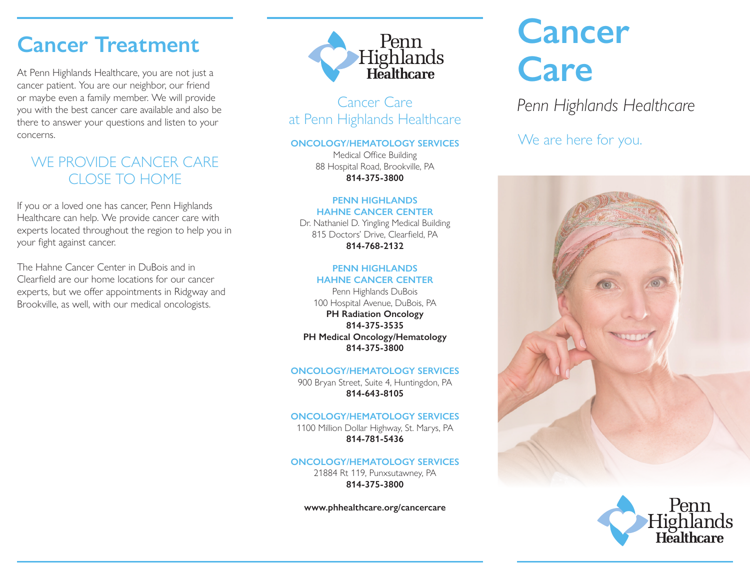# **Cancer Treatment**

At Penn Highlands Healthcare, you are not just a cancer patient. You are our neighbor, our friend or maybe even a family member. We will provide you with the best cancer care available and also be there to answer your questions and listen to your concerns.

# WE PROVIDE CANCER CARE CLOSE TO HOME

If you or a loved one has cancer, Penn Highlands Healthcare can help. We provide cancer care with experts located throughout the region to help you in your fight against cancer.

The Hahne Cancer Center in DuBois and in Clearfield are our home locations for our cancer experts, but we offer appointments in Ridgway and Brookville, as well, with our medical oncologists.



Cancer Care at Penn Highlands Healthcare

### **ONCOLOGY/HEMATOLOGY SERVICES**

Medical Office Building 88 Hospital Road, Brookville, PA **814-375-3800** 

#### **PENN HIGHLANDS HAHNE CANCER CENTER**

Dr. Nathaniel D. Yingling Medical Building 815 Doctors' Drive, Clearfield, PA **814-768-2132** 

### **PENN HIGHLANDS HAHNE CANCER CENTER**

Penn Highlands DuBois 100 Hospital Avenue, DuBois, PA **PH Radiation Oncology 814-375-3535 PH Medical Oncology/Hematology 814-375-3800**

### **ONCOLOGY/HEMATOLOGY SERVICES**

900 Bryan Street, Suite 4, Huntingdon, PA **814-643-8105** 

### **ONCOLOGY/HEMATOLOGY SERVICES**

1100 Million Dollar Highway, St. Marys, PA **814-781-5436**

### **ONCOLOGY/HEMATOLOGY SERVICES**

21884 Rt 119, Punxsutawney, PA **814-375-3800**

**www.phhealthcare.org/cancercare**

# **Cancer Care**

*Penn Highlands Healthcare*

We are here for you.